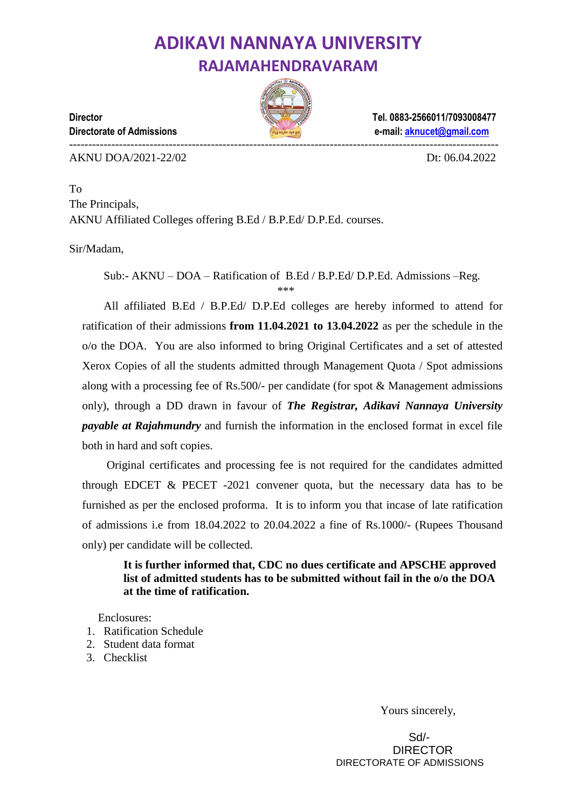# **ADIKAVI NANNAYA UNIVERSITY RAJAMAHENDRAVARAM**



**Director Tel. 0883-2566011/7093008477 Directorate of Admissions e-mail[: aknucet@gmail.com](mailto:aknucet@gmail.com)**

----------------------------------------------------------------------------------------------------------------

AKNU DOA/2021-22/02 Dt: 06.04.2022

To The Principals, AKNU Affiliated Colleges offering B.Ed / B.P.Ed/ D.P.Ed. courses.

Sir/Madam,

Sub:- AKNU – DOA – Ratification of B.Ed / B.P.Ed/ D.P.Ed. Admissions –Reg.

\*\*\*

All affiliated B.Ed / B.P.Ed/ D.P.Ed colleges are hereby informed to attend for ratification of their admissions **from 11.04.2021 to 13.04.2022** as per the schedule in the o/o the DOA. You are also informed to bring Original Certificates and a set of attested Xerox Copies of all the students admitted through Management Quota / Spot admissions along with a processing fee of Rs.500/- per candidate (for spot  $\&$  Management admissions only), through a DD drawn in favour of *The Registrar, Adikavi Nannaya University payable at Rajahmundry* and furnish the information in the enclosed format in excel file both in hard and soft copies.

Original certificates and processing fee is not required for the candidates admitted through EDCET  $&$  PECET -2021 convener quota, but the necessary data has to be furnished as per the enclosed proforma. It is to inform you that incase of late ratification of admissions i.e from 18.04.2022 to 20.04.2022 a fine of Rs.1000/- (Rupees Thousand only) per candidate will be collected.

**It is further informed that, CDC no dues certificate and APSCHE approved list of admitted students has to be submitted without fail in the o/o the DOA at the time of ratification.**

Enclosures:

- 1. Ratification Schedule
- 2. Student data format
- 3. Checklist

Yours sincerely,

 Sd/- DIRECTOR DIRECTORATE OF ADMISSIONS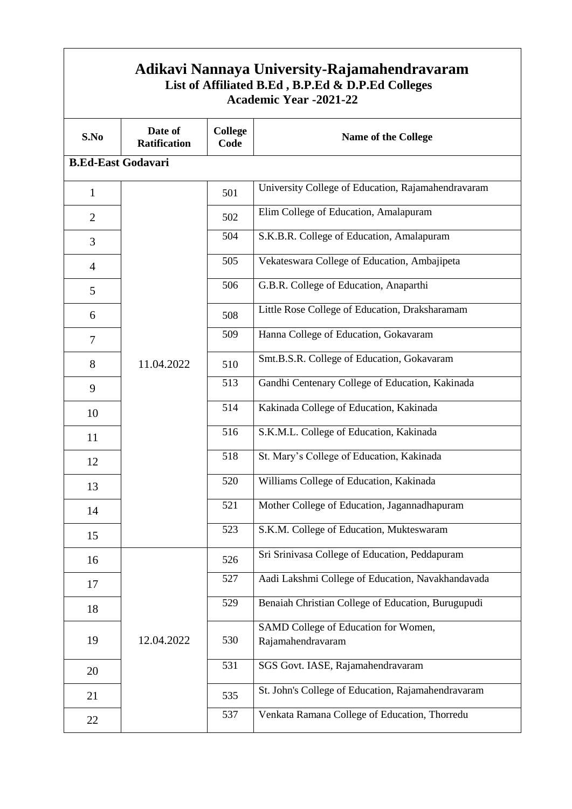|                | Adikavi Nannaya University-Rajamahendravaram<br>List of Affiliated B.Ed, B.P.Ed & D.P.Ed Colleges<br><b>Academic Year -2021-22</b> |                                                       |                                                           |  |  |  |  |  |  |  |  |  |
|----------------|------------------------------------------------------------------------------------------------------------------------------------|-------------------------------------------------------|-----------------------------------------------------------|--|--|--|--|--|--|--|--|--|
| S.No           | Date of<br><b>Ratification</b>                                                                                                     | <b>College</b><br>Code                                | <b>Name of the College</b>                                |  |  |  |  |  |  |  |  |  |
|                | <b>B.Ed-East Godavari</b>                                                                                                          |                                                       |                                                           |  |  |  |  |  |  |  |  |  |
| $\mathbf{1}$   |                                                                                                                                    | 501                                                   | University College of Education, Rajamahendravaram        |  |  |  |  |  |  |  |  |  |
| $\overline{2}$ |                                                                                                                                    | 502                                                   | Elim College of Education, Amalapuram                     |  |  |  |  |  |  |  |  |  |
| 3              |                                                                                                                                    | 504                                                   | S.K.B.R. College of Education, Amalapuram                 |  |  |  |  |  |  |  |  |  |
| $\overline{4}$ |                                                                                                                                    | 505                                                   | Vekateswara College of Education, Ambajipeta              |  |  |  |  |  |  |  |  |  |
| 5              |                                                                                                                                    | 506                                                   | G.B.R. College of Education, Anaparthi                    |  |  |  |  |  |  |  |  |  |
| 6              |                                                                                                                                    | Little Rose College of Education, Draksharamam<br>508 |                                                           |  |  |  |  |  |  |  |  |  |
| $\tau$         |                                                                                                                                    | 509                                                   | Hanna College of Education, Gokavaram                     |  |  |  |  |  |  |  |  |  |
| 8              | 11.04.2022                                                                                                                         | 510                                                   | Smt.B.S.R. College of Education, Gokavaram                |  |  |  |  |  |  |  |  |  |
| 9              |                                                                                                                                    | 513                                                   | Gandhi Centenary College of Education, Kakinada           |  |  |  |  |  |  |  |  |  |
| 10             |                                                                                                                                    | 514                                                   | Kakinada College of Education, Kakinada                   |  |  |  |  |  |  |  |  |  |
| 11             |                                                                                                                                    | 516                                                   | S.K.M.L. College of Education, Kakinada                   |  |  |  |  |  |  |  |  |  |
| 12             |                                                                                                                                    | 518                                                   | St. Mary's College of Education, Kakinada                 |  |  |  |  |  |  |  |  |  |
| 13             |                                                                                                                                    | 520                                                   | Williams College of Education, Kakinada                   |  |  |  |  |  |  |  |  |  |
| 14             |                                                                                                                                    | 521                                                   | Mother College of Education, Jagannadhapuram              |  |  |  |  |  |  |  |  |  |
| 15             |                                                                                                                                    | 523                                                   | S.K.M. College of Education, Mukteswaram                  |  |  |  |  |  |  |  |  |  |
| 16             |                                                                                                                                    | 526                                                   | Sri Srinivasa College of Education, Peddapuram            |  |  |  |  |  |  |  |  |  |
| 17             |                                                                                                                                    | 527                                                   | Aadi Lakshmi College of Education, Navakhandavada         |  |  |  |  |  |  |  |  |  |
| 18             |                                                                                                                                    | 529                                                   | Benaiah Christian College of Education, Burugupudi        |  |  |  |  |  |  |  |  |  |
| 19             | 12.04.2022                                                                                                                         | 530                                                   | SAMD College of Education for Women,<br>Rajamahendravaram |  |  |  |  |  |  |  |  |  |
| 20             |                                                                                                                                    | 531                                                   | SGS Govt. IASE, Rajamahendravaram                         |  |  |  |  |  |  |  |  |  |
| 21             |                                                                                                                                    | 535                                                   | St. John's College of Education, Rajamahendravaram        |  |  |  |  |  |  |  |  |  |
| 22             |                                                                                                                                    | 537                                                   | Venkata Ramana College of Education, Thorredu             |  |  |  |  |  |  |  |  |  |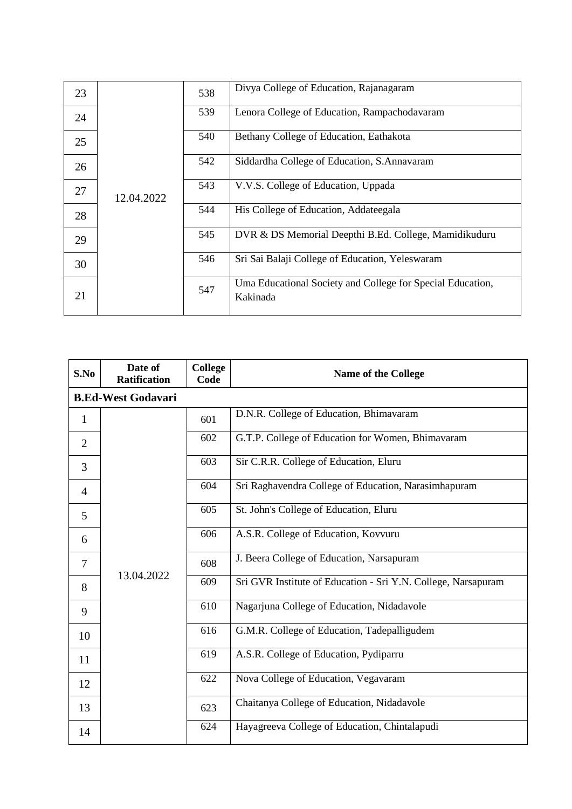| 23 |            | 538                                                                                                                    | Divya College of Education, Rajanagaram                                |  |  |  |  |  |
|----|------------|------------------------------------------------------------------------------------------------------------------------|------------------------------------------------------------------------|--|--|--|--|--|
| 24 |            | 539                                                                                                                    | Lenora College of Education, Rampachodavaram                           |  |  |  |  |  |
| 25 |            | 540                                                                                                                    | Bethany College of Education, Eathakota                                |  |  |  |  |  |
| 26 | 12.04.2022 | 542<br>Siddardha College of Education, S.Annavaram                                                                     |                                                                        |  |  |  |  |  |
| 27 |            | 543<br>V.V.S. College of Education, Uppada                                                                             |                                                                        |  |  |  |  |  |
| 28 |            | 544                                                                                                                    | His College of Education, Addateegala                                  |  |  |  |  |  |
| 29 |            | 545<br>DVR & DS Memorial Deepthi B.Ed. College, Mamidikuduru<br>546<br>Sri Sai Balaji College of Education, Yeleswaram |                                                                        |  |  |  |  |  |
| 30 |            |                                                                                                                        |                                                                        |  |  |  |  |  |
| 21 |            | 547                                                                                                                    | Uma Educational Society and College for Special Education,<br>Kakinada |  |  |  |  |  |

| S.No           | Date of<br><b>Ratification</b> | <b>College</b><br>Code | <b>Name of the College</b>                                    |
|----------------|--------------------------------|------------------------|---------------------------------------------------------------|
|                | <b>B.Ed-West Godavari</b>      |                        |                                                               |
| $\mathbf{1}$   |                                | 601                    | D.N.R. College of Education, Bhimavaram                       |
| $\overline{2}$ |                                | 602                    | G.T.P. College of Education for Women, Bhimavaram             |
| 3              |                                | 603                    | Sir C.R.R. College of Education, Eluru                        |
| $\overline{4}$ |                                | 604                    | Sri Raghavendra College of Education, Narasimhapuram          |
| 5              |                                | 605                    | St. John's College of Education, Eluru                        |
| 6              |                                | 606                    | A.S.R. College of Education, Kovvuru                          |
| 7              |                                | 608                    | J. Beera College of Education, Narsapuram                     |
| 8              | 13.04.2022                     | 609                    | Sri GVR Institute of Education - Sri Y.N. College, Narsapuram |
| 9              |                                | 610                    | Nagarjuna College of Education, Nidadavole                    |
| 10             |                                | 616                    | G.M.R. College of Education, Tadepalligudem                   |
| 11             |                                | 619                    | A.S.R. College of Education, Pydiparru                        |
| 12             |                                | 622                    | Nova College of Education, Vegavaram                          |
| 13             |                                | 623                    | Chaitanya College of Education, Nidadavole                    |
| 14             |                                | 624                    | Hayagreeva College of Education, Chintalapudi                 |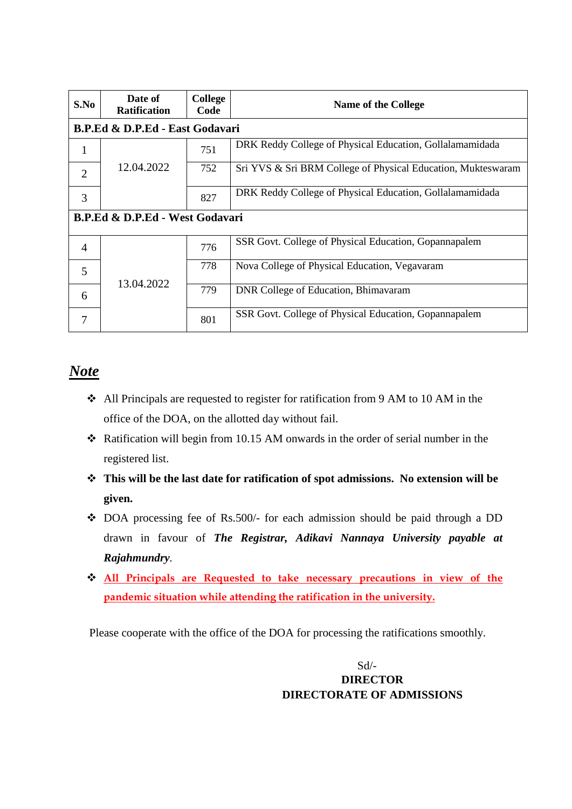| S.No           | Date of<br><b>Ratification</b>             | College<br>Code | <b>Name of the College</b>                                   |  |  |  |  |  |  |  |
|----------------|--------------------------------------------|-----------------|--------------------------------------------------------------|--|--|--|--|--|--|--|
|                | B.P.Ed & D.P.Ed - East Godavari            |                 |                                                              |  |  |  |  |  |  |  |
| 1              |                                            | 751             | DRK Reddy College of Physical Education, Gollalamamidada     |  |  |  |  |  |  |  |
| $\overline{2}$ | 12.04.2022                                 | 752             | Sri YVS & Sri BRM College of Physical Education, Mukteswaram |  |  |  |  |  |  |  |
| 3              |                                            | 827             | DRK Reddy College of Physical Education, Gollalamamidada     |  |  |  |  |  |  |  |
|                | <b>B.P.Ed &amp; D.P.Ed - West Godavari</b> |                 |                                                              |  |  |  |  |  |  |  |
| $\overline{4}$ |                                            | 776             | SSR Govt. College of Physical Education, Gopannapalem        |  |  |  |  |  |  |  |
| 5              | 13.04.2022                                 | 778             | Nova College of Physical Education, Vegavaram                |  |  |  |  |  |  |  |
| 6              |                                            | 779             | DNR College of Education, Bhimavaram                         |  |  |  |  |  |  |  |
| 7              |                                            | 801             | SSR Govt. College of Physical Education, Gopannapalem        |  |  |  |  |  |  |  |

# *Note*

- All Principals are requested to register for ratification from 9 AM to 10 AM in the office of the DOA, on the allotted day without fail.
- Ratification will begin from 10.15 AM onwards in the order of serial number in the registered list.
- **This will be the last date for ratification of spot admissions. No extension will be given.**
- DOA processing fee of Rs.500/- for each admission should be paid through a DD drawn in favour of *The Registrar, Adikavi Nannaya University payable at Rajahmundry.*
- **All Principals are Requested to take necessary precautions in view of the pandemic situation while attending the ratification in the university.**

Please cooperate with the office of the DOA for processing the ratifications smoothly.

### Sd/- **DIRECTOR DIRECTORATE OF ADMISSIONS**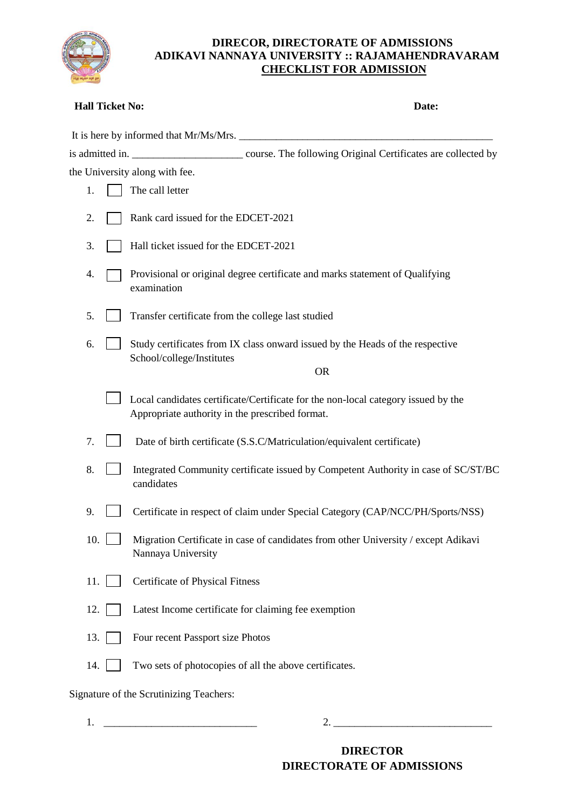

#### **DIRECOR, DIRECTORATE OF ADMISSIONS ADIKAVI NANNAYA UNIVERSITY :: RAJAMAHENDRAVARAM CHECKLIST FOR ADMISSION**

| <b>Hall Ticket No:</b> | Date:                                                                                                                                |
|------------------------|--------------------------------------------------------------------------------------------------------------------------------------|
|                        | It is here by informed that Mr/Ms/Mrs.                                                                                               |
|                        |                                                                                                                                      |
|                        | the University along with fee.                                                                                                       |
| 1.                     | The call letter                                                                                                                      |
| 2.                     | Rank card issued for the EDCET-2021                                                                                                  |
| 3.                     | Hall ticket issued for the EDCET-2021                                                                                                |
| 4.                     | Provisional or original degree certificate and marks statement of Qualifying<br>examination                                          |
| 5.                     | Transfer certificate from the college last studied                                                                                   |
| 6.                     | Study certificates from IX class onward issued by the Heads of the respective<br>School/college/Institutes                           |
|                        | <b>OR</b>                                                                                                                            |
|                        | Local candidates certificate/Certificate for the non-local category issued by the<br>Appropriate authority in the prescribed format. |
| 7.                     | Date of birth certificate (S.S.C/Matriculation/equivalent certificate)                                                               |
| 8.                     | Integrated Community certificate issued by Competent Authority in case of SC/ST/BC<br>candidates                                     |
| 9.                     | Certificate in respect of claim under Special Category (CAP/NCC/PH/Sports/NSS)                                                       |
| 10.                    | Migration Certificate in case of candidates from other University / except Adikavi<br>Nannaya University                             |
| 11.                    | <b>Certificate of Physical Fitness</b>                                                                                               |
| 12.                    | Latest Income certificate for claiming fee exemption                                                                                 |
| 13.                    | Four recent Passport size Photos                                                                                                     |
| 14.                    | Two sets of photocopies of all the above certificates.                                                                               |
|                        | Signature of the Scrutinizing Teachers:                                                                                              |

1.  $\frac{1}{2}$  2.  $\frac{1}{2}$  2.  $\frac{1}{2}$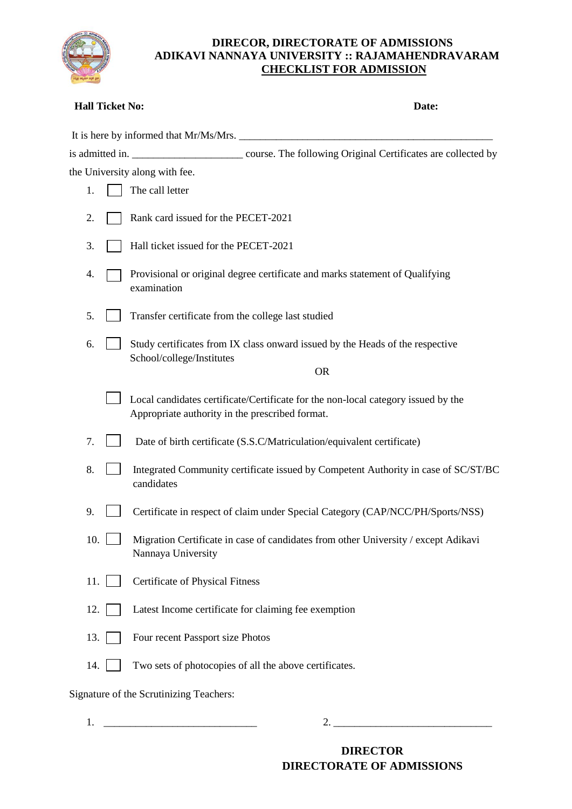

#### **DIRECOR, DIRECTORATE OF ADMISSIONS ADIKAVI NANNAYA UNIVERSITY :: RAJAMAHENDRAVARAM CHECKLIST FOR ADMISSION**

| <b>Hall Ticket No:</b> | Date:                                                                                                                                |
|------------------------|--------------------------------------------------------------------------------------------------------------------------------------|
|                        | It is here by informed that Mr/Ms/Mrs.                                                                                               |
|                        |                                                                                                                                      |
|                        | the University along with fee.                                                                                                       |
| 1.                     | The call letter                                                                                                                      |
| 2.                     | Rank card issued for the PECET-2021                                                                                                  |
| 3.                     | Hall ticket issued for the PECET-2021                                                                                                |
| 4.                     | Provisional or original degree certificate and marks statement of Qualifying<br>examination                                          |
| 5.                     | Transfer certificate from the college last studied                                                                                   |
| 6.                     | Study certificates from IX class onward issued by the Heads of the respective<br>School/college/Institutes<br><b>OR</b>              |
|                        |                                                                                                                                      |
|                        | Local candidates certificate/Certificate for the non-local category issued by the<br>Appropriate authority in the prescribed format. |
| 7.                     | Date of birth certificate (S.S.C/Matriculation/equivalent certificate)                                                               |
| 8.                     | Integrated Community certificate issued by Competent Authority in case of SC/ST/BC<br>candidates                                     |
| 9.                     | Certificate in respect of claim under Special Category (CAP/NCC/PH/Sports/NSS)                                                       |
| 10.                    | Migration Certificate in case of candidates from other University / except Adikavi<br>Nannaya University                             |
| 11.                    | <b>Certificate of Physical Fitness</b>                                                                                               |
| 12.                    | Latest Income certificate for claiming fee exemption                                                                                 |
| 13.                    | Four recent Passport size Photos                                                                                                     |
| 14.                    | Two sets of photocopies of all the above certificates.                                                                               |
|                        | Signature of the Scrutinizing Teachers:                                                                                              |
|                        |                                                                                                                                      |

1.  $\frac{1}{2}$  2.  $\frac{1}{2}$  2.  $\frac{1}{2}$  3.  $\frac{1}{2}$  3.  $\frac{1}{2}$  3.  $\frac{1}{2}$  3.  $\frac{1}{2}$  3.  $\frac{1}{2}$  3.  $\frac{1}{2}$  3.  $\frac{1}{2}$  3.  $\frac{1}{2}$  3.  $\frac{1}{2}$  3.  $\frac{1}{2}$  3.  $\frac{1}{2}$  3.  $\frac{1}{2}$  3.  $\frac{1}{2}$  3.  $\frac{1}{2}$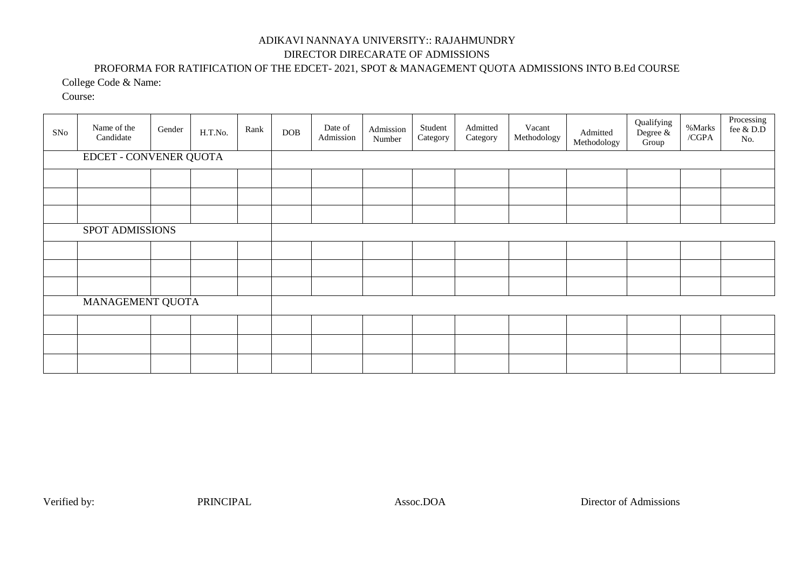## ADIKAVI NANNAYA UNIVERSITY:: RAJAHMUNDRY DIRECTOR DIRECARATE OF ADMISSIONS

#### PROFORMA FOR RATIFICATION OF THE EDCET- 2021, SPOT & MANAGEMENT QUOTA ADMISSIONS INTO B.Ed COURSE

College Code & Name:

Course:

| SNo | Name of the<br>Candidate      | Gender | H.T.No. | Rank | DOB | Date of<br>Admission | Admission<br>Number | Student<br>Category | Admitted<br>Category | Vacant<br>Methodology | Admitted<br>Methodology | Qualifying<br>Degree &<br>Group | %Marks<br>/CGPA | Processing<br>fee $\&$ D.D<br>No. |
|-----|-------------------------------|--------|---------|------|-----|----------------------|---------------------|---------------------|----------------------|-----------------------|-------------------------|---------------------------------|-----------------|-----------------------------------|
|     | <b>EDCET - CONVENER QUOTA</b> |        |         |      |     |                      |                     |                     |                      |                       |                         |                                 |                 |                                   |
|     |                               |        |         |      |     |                      |                     |                     |                      |                       |                         |                                 |                 |                                   |
|     |                               |        |         |      |     |                      |                     |                     |                      |                       |                         |                                 |                 |                                   |
|     |                               |        |         |      |     |                      |                     |                     |                      |                       |                         |                                 |                 |                                   |
|     | SPOT ADMISSIONS               |        |         |      |     |                      |                     |                     |                      |                       |                         |                                 |                 |                                   |
|     |                               |        |         |      |     |                      |                     |                     |                      |                       |                         |                                 |                 |                                   |
|     |                               |        |         |      |     |                      |                     |                     |                      |                       |                         |                                 |                 |                                   |
|     |                               |        |         |      |     |                      |                     |                     |                      |                       |                         |                                 |                 |                                   |
|     | MANAGEMENT QUOTA              |        |         |      |     |                      |                     |                     |                      |                       |                         |                                 |                 |                                   |
|     |                               |        |         |      |     |                      |                     |                     |                      |                       |                         |                                 |                 |                                   |
|     |                               |        |         |      |     |                      |                     |                     |                      |                       |                         |                                 |                 |                                   |
|     |                               |        |         |      |     |                      |                     |                     |                      |                       |                         |                                 |                 |                                   |